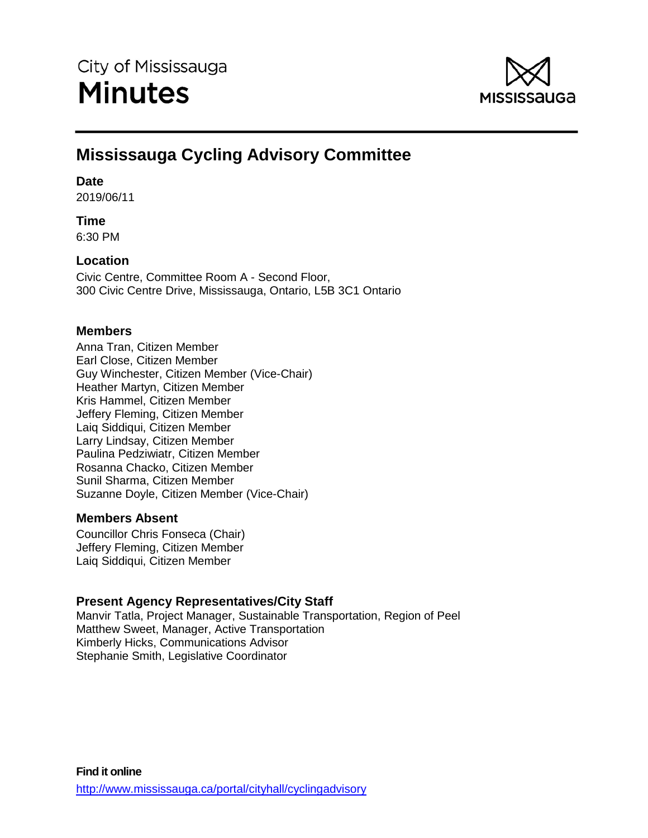

# **Mississauga Cycling Advisory Committee**

## **Date**

2019/06/11

# **Time**

6:30 PM

# **Location**

Civic Centre, Committee Room A - Second Floor, 300 Civic Centre Drive, Mississauga, Ontario, L5B 3C1 Ontario

# **Members**

Anna Tran, Citizen Member Earl Close, Citizen Member Guy Winchester, Citizen Member (Vice-Chair) Heather Martyn, Citizen Member Kris Hammel, Citizen Member Jeffery Fleming, Citizen Member Laiq Siddiqui, Citizen Member Larry Lindsay, Citizen Member Paulina Pedziwiatr, Citizen Member Rosanna Chacko, Citizen Member Sunil Sharma, Citizen Member Suzanne Doyle, Citizen Member (Vice-Chair)

# **Members Absent**

Councillor Chris Fonseca (Chair) Jeffery Fleming, Citizen Member Laiq Siddiqui, Citizen Member

# **Present Agency Representatives/City Staff**

Manvir Tatla, Project Manager, Sustainable Transportation, Region of Peel Matthew Sweet, Manager, Active Transportation Kimberly Hicks, Communications Advisor Stephanie Smith, Legislative Coordinator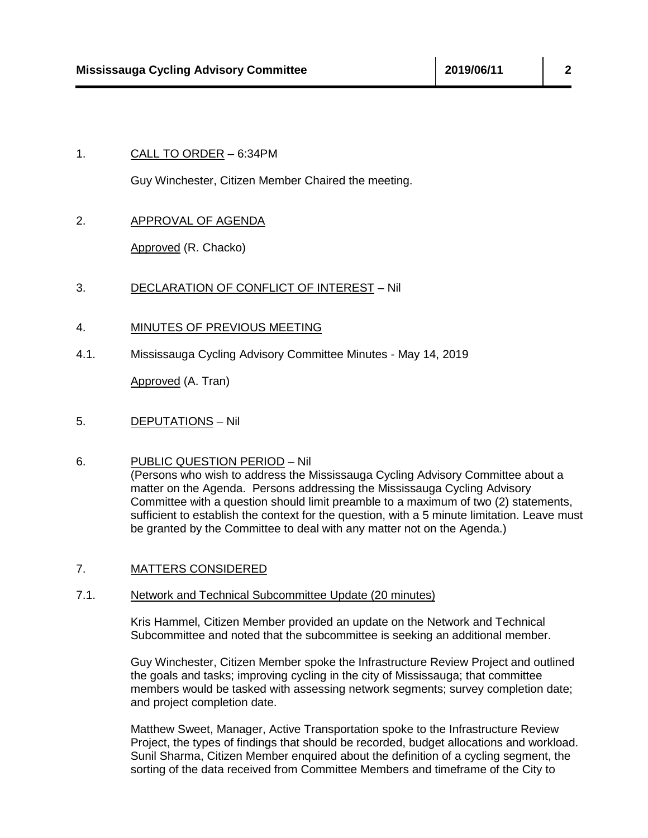## 1. CALL TO ORDER – 6:34PM

Guy Winchester, Citizen Member Chaired the meeting.

## 2. APPROVAL OF AGENDA

Approved (R. Chacko)

## 3. DECLARATION OF CONFLICT OF INTEREST – Nil

- 4. MINUTES OF PREVIOUS MEETING
- 4.1. Mississauga Cycling Advisory Committee Minutes May 14, 2019

Approved (A. Tran)

5. DEPUTATIONS – Nil

#### 6. PUBLIC QUESTION PERIOD – Nil

(Persons who wish to address the Mississauga Cycling Advisory Committee about a matter on the Agenda. Persons addressing the Mississauga Cycling Advisory Committee with a question should limit preamble to a maximum of two (2) statements, sufficient to establish the context for the question, with a 5 minute limitation. Leave must be granted by the Committee to deal with any matter not on the Agenda.)

#### 7. MATTERS CONSIDERED

#### 7.1. Network and Technical Subcommittee Update (20 minutes)

Kris Hammel, Citizen Member provided an update on the Network and Technical Subcommittee and noted that the subcommittee is seeking an additional member.

Guy Winchester, Citizen Member spoke the Infrastructure Review Project and outlined the goals and tasks; improving cycling in the city of Mississauga; that committee members would be tasked with assessing network segments; survey completion date; and project completion date.

Matthew Sweet, Manager, Active Transportation spoke to the Infrastructure Review Project, the types of findings that should be recorded, budget allocations and workload. Sunil Sharma, Citizen Member enquired about the definition of a cycling segment, the sorting of the data received from Committee Members and timeframe of the City to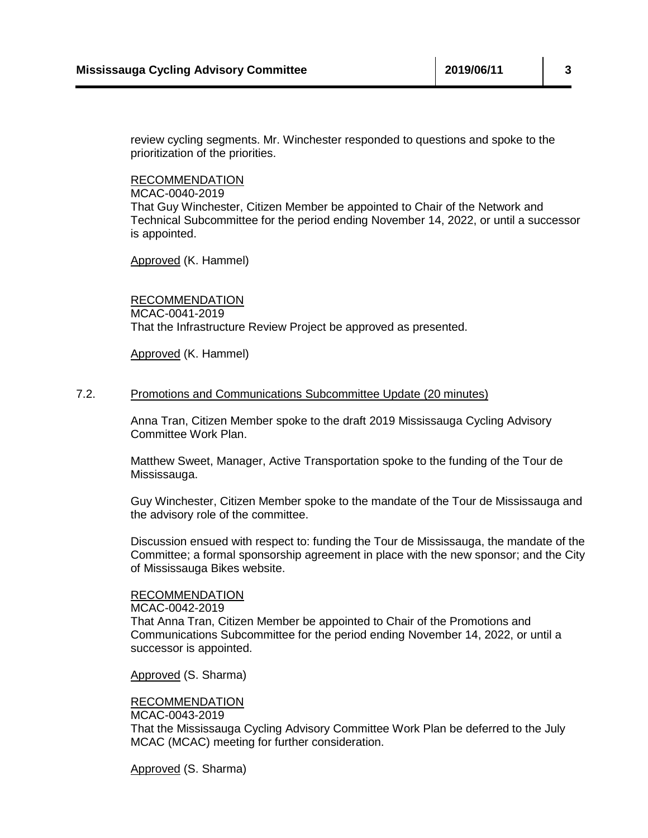review cycling segments. Mr. Winchester responded to questions and spoke to the prioritization of the priorities.

RECOMMENDATION

MCAC-0040-2019

That Guy Winchester, Citizen Member be appointed to Chair of the Network and Technical Subcommittee for the period ending November 14, 2022, or until a successor is appointed.

Approved (K. Hammel)

RECOMMENDATION MCAC-0041-2019 That the Infrastructure Review Project be approved as presented.

Approved (K. Hammel)

#### 7.2. Promotions and Communications Subcommittee Update (20 minutes)

Anna Tran, Citizen Member spoke to the draft 2019 Mississauga Cycling Advisory Committee Work Plan.

Matthew Sweet, Manager, Active Transportation spoke to the funding of the Tour de Mississauga.

Guy Winchester, Citizen Member spoke to the mandate of the Tour de Mississauga and the advisory role of the committee.

Discussion ensued with respect to: funding the Tour de Mississauga, the mandate of the Committee; a formal sponsorship agreement in place with the new sponsor; and the City of Mississauga Bikes website.

#### RECOMMENDATION

MCAC-0042-2019 That Anna Tran, Citizen Member be appointed to Chair of the Promotions and Communications Subcommittee for the period ending November 14, 2022, or until a successor is appointed.

Approved (S. Sharma)

## RECOMMENDATION

MCAC-0043-2019

That the Mississauga Cycling Advisory Committee Work Plan be deferred to the July MCAC (MCAC) meeting for further consideration.

Approved (S. Sharma)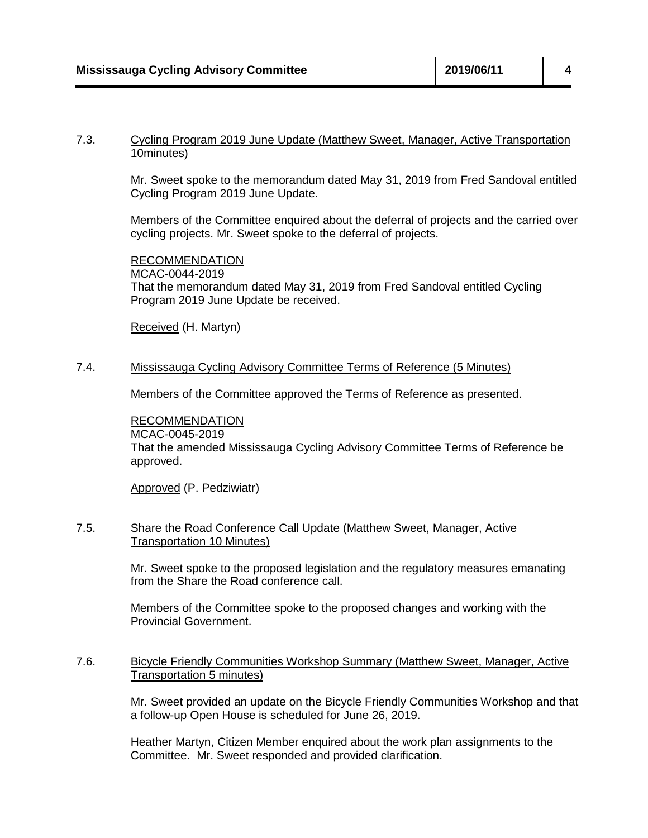## 7.3. Cycling Program 2019 June Update (Matthew Sweet, Manager, Active Transportation 10minutes)

Mr. Sweet spoke to the memorandum dated May 31, 2019 from Fred Sandoval entitled Cycling Program 2019 June Update.

Members of the Committee enquired about the deferral of projects and the carried over cycling projects. Mr. Sweet spoke to the deferral of projects.

RECOMMENDATION MCAC-0044-2019 That the memorandum dated May 31, 2019 from Fred Sandoval entitled Cycling Program 2019 June Update be received.

Received (H. Martyn)

## 7.4. Mississauga Cycling Advisory Committee Terms of Reference (5 Minutes)

Members of the Committee approved the Terms of Reference as presented.

RECOMMENDATION MCAC-0045-2019 That the amended Mississauga Cycling Advisory Committee Terms of Reference be approved.

Approved (P. Pedziwiatr)

## 7.5. Share the Road Conference Call Update (Matthew Sweet, Manager, Active Transportation 10 Minutes)

Mr. Sweet spoke to the proposed legislation and the regulatory measures emanating from the Share the Road conference call.

Members of the Committee spoke to the proposed changes and working with the Provincial Government.

## 7.6. Bicycle Friendly Communities Workshop Summary (Matthew Sweet, Manager, Active Transportation 5 minutes)

Mr. Sweet provided an update on the Bicycle Friendly Communities Workshop and that a follow-up Open House is scheduled for June 26, 2019.

Heather Martyn, Citizen Member enquired about the work plan assignments to the Committee. Mr. Sweet responded and provided clarification.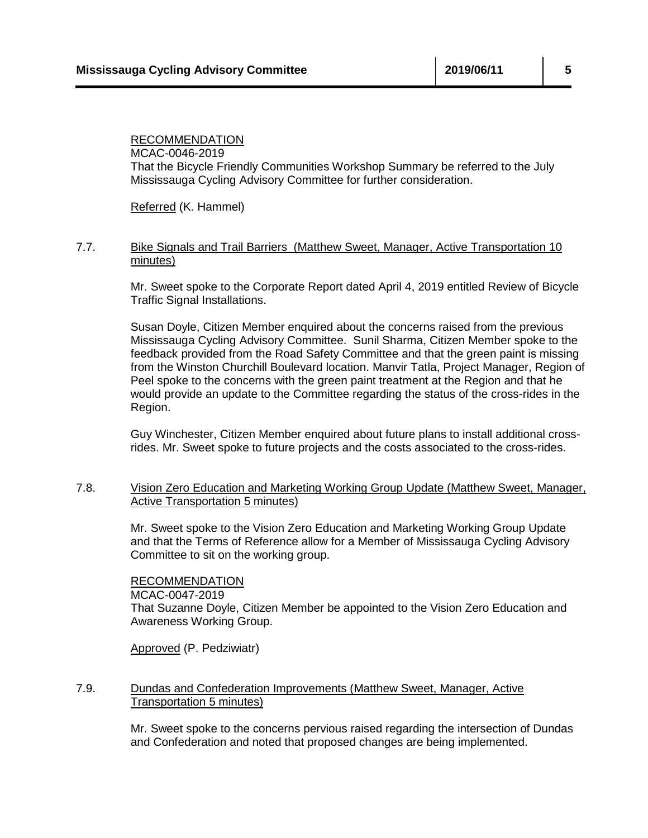## RECOMMENDATION MCAC-0046-2019 That the Bicycle Friendly Communities Workshop Summary be referred to the July Mississauga Cycling Advisory Committee for further consideration.

Referred (K. Hammel)

#### 7.7. Bike Signals and Trail Barriers (Matthew Sweet, Manager, Active Transportation 10 minutes)

Mr. Sweet spoke to the Corporate Report dated April 4, 2019 entitled Review of Bicycle Traffic Signal Installations.

Susan Doyle, Citizen Member enquired about the concerns raised from the previous Mississauga Cycling Advisory Committee. Sunil Sharma, Citizen Member spoke to the feedback provided from the Road Safety Committee and that the green paint is missing from the Winston Churchill Boulevard location. Manvir Tatla, Project Manager, Region of Peel spoke to the concerns with the green paint treatment at the Region and that he would provide an update to the Committee regarding the status of the cross-rides in the Region.

Guy Winchester, Citizen Member enquired about future plans to install additional crossrides. Mr. Sweet spoke to future projects and the costs associated to the cross-rides.

## 7.8. Vision Zero Education and Marketing Working Group Update (Matthew Sweet, Manager, Active Transportation 5 minutes)

Mr. Sweet spoke to the Vision Zero Education and Marketing Working Group Update and that the Terms of Reference allow for a Member of Mississauga Cycling Advisory Committee to sit on the working group.

## RECOMMENDATION

MCAC-0047-2019 That Suzanne Doyle, Citizen Member be appointed to the Vision Zero Education and Awareness Working Group.

Approved (P. Pedziwiatr)

## 7.9. Dundas and Confederation Improvements (Matthew Sweet, Manager, Active Transportation 5 minutes)

Mr. Sweet spoke to the concerns pervious raised regarding the intersection of Dundas and Confederation and noted that proposed changes are being implemented.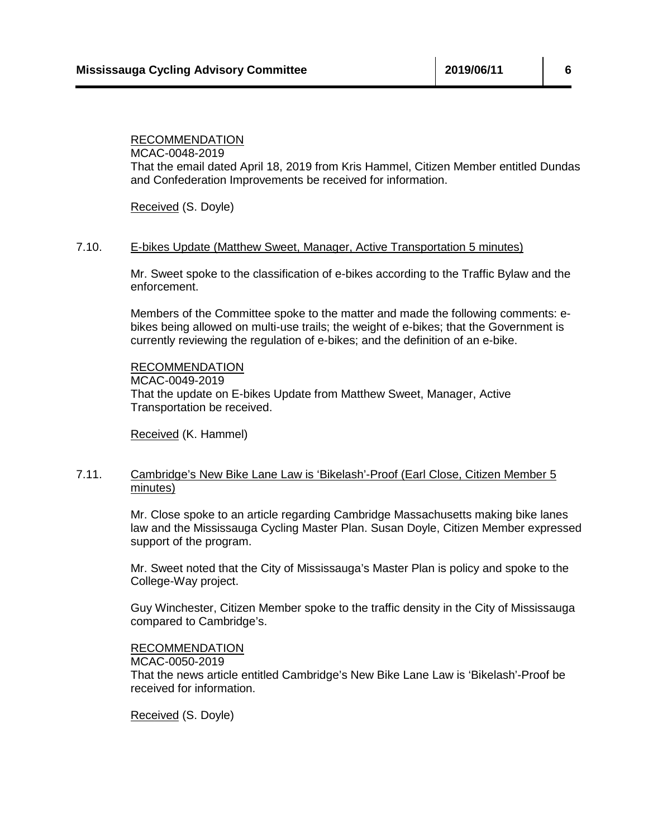# RECOMMENDATION

MCAC-0048-2019 That the email dated April 18, 2019 from Kris Hammel, Citizen Member entitled Dundas and Confederation Improvements be received for information.

Received (S. Doyle)

#### 7.10. E-bikes Update (Matthew Sweet, Manager, Active Transportation 5 minutes)

Mr. Sweet spoke to the classification of e-bikes according to the Traffic Bylaw and the enforcement.

Members of the Committee spoke to the matter and made the following comments: ebikes being allowed on multi-use trails; the weight of e-bikes; that the Government is currently reviewing the regulation of e-bikes; and the definition of an e-bike.

RECOMMENDATION MCAC-0049-2019 That the update on E-bikes Update from Matthew Sweet, Manager, Active Transportation be received.

Received (K. Hammel)

## 7.11. Cambridge's New Bike Lane Law is 'Bikelash'-Proof (Earl Close, Citizen Member 5 minutes)

Mr. Close spoke to an article regarding Cambridge Massachusetts making bike lanes law and the Mississauga Cycling Master Plan. Susan Doyle, Citizen Member expressed support of the program.

Mr. Sweet noted that the City of Mississauga's Master Plan is policy and spoke to the College-Way project.

Guy Winchester, Citizen Member spoke to the traffic density in the City of Mississauga compared to Cambridge's.

#### RECOMMENDATION

MCAC-0050-2019

That the news article entitled Cambridge's New Bike Lane Law is 'Bikelash'-Proof be received for information.

Received (S. Doyle)